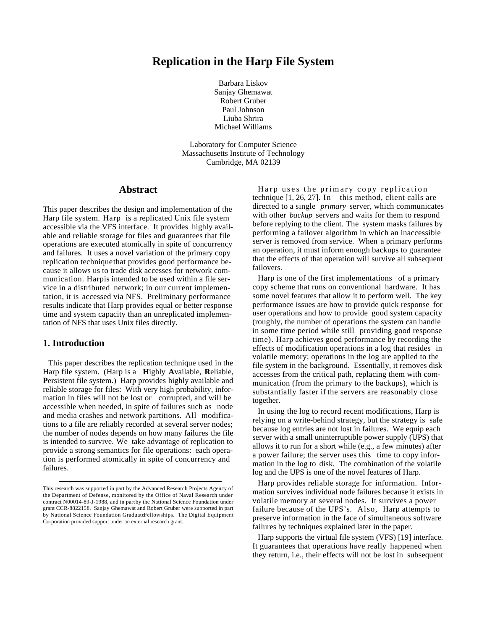# **Replication in the Harp File System**

Barbara Liskov Sanjay Ghemawat Robert Gruber Paul Johnson Liuba Shrira Michael Williams

Laboratory for Computer Science Massachusetts Institute of Technology Cambridge, MA 02139

replication technique that provides good performance be-<br>negligible all survey for the property replication technique that provides good performance be-<br>failovers. cause it allows us to trade disk accesses for network communication. Harpis intended to be used within a file ser-<br>vice in a distributed network: in our current implemen-<br>copy scheme that runs on conventional hardware. It has vice in a distributed network; in our current implementime and system capacity than an unreplicated implemen-

**Persistent file system.) Harp provides highly available and munication (from the primary to the backups), which is** reliable storage for files: With very high probability, infor-<br>substantially faster if the servers are reasonably close mation in files will not be lost or corrupted, and will be  $\frac{1}{\text{to the coefficient}}$  together.

**Abstract** Harp uses the primary copy replication technique [1, 26, 27]. In this method, client calls are This paper describes the design and implementation of the directed to a single *primary* server, which communicates The Harp is a replicated Unix file system with other *backup* servers and waits for them to respond Harp file system. Harp is a replicated Unix file system with other *backup* servers and waits for them to respond<br>accessible via the VFS interface. It provides highly avail before replying to the client. The system masks f accessible via the VFS interface. It provides highly avail-<br>able and reliable storage for files and quarantees that file<br>performing a failover algorithm in which an inaccessible able and reliable storage for files and guarantees that file able performing a failover algorithm in which an inaccessible above and reliable storage for files and guarantees that file server is removed from service. When operations are executed atomically in spite of concurrency<br>and failures. It uses a novel variation of the primary conv an operation, it must inform enough backups to guarantee and failures. It uses a novel variation of the primary copy and operation, it must inform enough backups to guarantee<br>that the effects of that operation will survive all subsequent

tation, it is accessed via NFS. Preliminary performance some novel features that allow it to perform well. The key<br>results indicate that Harp provides equal or better response performance issues are how to provide quick re results indicate that Harp provides equal or better response performance issues are how to provide quick response for<br>time and system capacity than an unreplicated implementions are operations and how to provide good syste tation of NFS that uses Unix files directly. (roughly, the number of operations the system can handle in some time period while still providing good response **1. Introduction** time). Harp achieves good performance by recording the effects of modification operations in a log that resides in volatile memory; operations in the log are applied to the This paper describes the replication technique used in the file system in the background. Essentially, it removes disk<br>Harp file system. (Harp is a Highly Available, Reliable, accesses from the critical path replacing them accesses from the critical path, replacing them with com-

and media crashes and network partitions. All modifica-<br>
and media crashes and network partitions. All modifica-<br>
tions to a file are reliably recorded at several server nodes;<br>
the number of nodes depends on how many fail

Harp provides reliable storage for information. Infor-This research was supported in part by the Advanced Research Projects Agency of<br>the Department of Defense, monitored by the Office of Naval Research under<br>contract N00014-89-J-1988, and in partby the National Science Found failures by techniques explained later in the paper.

> Harp supports the virtual file system (VFS) [19] interface. It guarantees that operations have really happened when they return, i.e., their effects will not be lost in subsequent

contract N00014-89-J-1988, and in part by the National Science Foundation under volatile memory at several nodes. It survives a power<br>grant CCR-8822158. Sanjay Ghemawat and Robert Gruber were supported in part failure beca grant CCR-8822158. Sanjay Ghemawat and Robert Gruber were supported in part failure because of the UPS's. Also, Harp attempts to by National Science Foundation GraduateFellowships. The Digital Equipment are assegned in the by National Science Foundation Graduate Fellowships. The Digital Equipment preserve information in the face of simultaneous software Corporation provided support under an external research grant.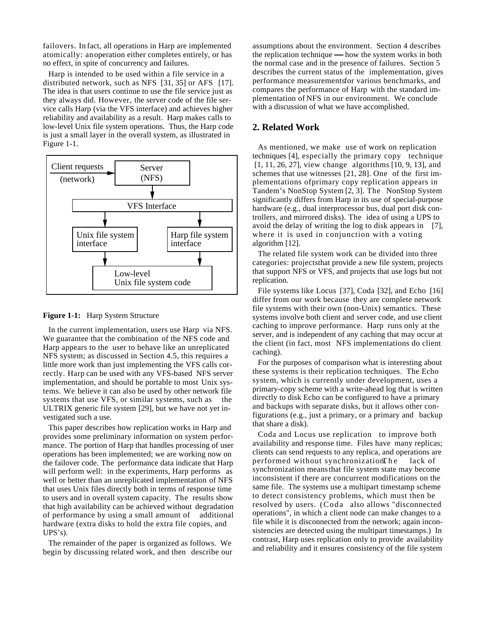failovers. In fact, all operations in Harp are implemented assumptions about the environment. Section 4 describes no effect, in spite of concurrency and failures. the normal case and in the presence of failures. Section 5

distributed network, such as NFS [31, 35] or AFS [17]. performance measurements for various benchmarks, and <br>The idea is that users continue to use the file service just as compares the performance of Harp with the standar The idea is that users continue to use the file service just as compares the performance of Harp with the standard im-<br>they always did. However, the server code of the file ser-<br>plementation of NFS in our environment. We c they always did. However, the server code of the file ser-<br>vice calls Harp (via the VES interface) and achieves higher with a discussion of what we have accomplished. vice calls Harp (via the VFS interface) and achieves higher reliability and availability as a result. Harp makes calls to low-level Unix file system operations. Thus, the Harp code **2. Related Work** is just a small layer in the overall system, as illustrated in Figure 1-1.



In the current implementation, users use Harp via NFS.<br>We guarantee that the combination of the NFS code and<br>Harp appears to the user to behave like an unreplicated<br>NFS system; as discussed in Section 4.5, this requires a NFS system; as discussed in Section 4.5, this requires a<br>little more work than just implementing the VFS calls cor-<br>For the purposes of comparison what is interesting about these systems is their replication techniques. The Echo rectly. Harp can be used with any VFS-based NFS server these systems is their replication techniques. The Echo implementation and should be portable to most Unix syst implementation, and should be portable to most Unix systems. We believe it can also be used by other network file systems that use VFS, or similar systems, such as the directly to disk Echo can be configured to have a primary<br>III TRIX generic file system [29] but we have not yet in-<br>and backups with separate disks, but it allows other ULTRIX generic file system  $[29]$ , but we have not yet in-

This paper describes how replication works in Harp and<br>rovides some preliminary information on system perfor-<br>Coda and Locus use replication to improve both provides some preliminary information on system perfor-<br>mance. The portion of Harp that handles processing of user availability and response time. Files have many replicas; mance. The portion of Harp that handles processing of user availability and response time. Files have many replicas; operations has been implemented; we are working now on clients can send requests to any replica, and oper operations has been implemented; we are working now on clients can send requests to any replica, and operations are<br>the failover code. The performance data indicate that Harp performed without synchronization. The lack of the failover code. The performance data indicate that Harp performed without synchronization. The lack of the factor well: in the experiments. Harp performs as synchronization means that file system state may become will perform well: in the experiments, Harp performs as synchronization means that file system state may become well or better than an unreplicated implementation of NFS inconsistent if there are concurrent modifications o well or better than an unreplicated implementation of NFS inconsistent if there are concurrent modifications on the that uses I hive files directly both in terms of response time same file. The systems use a multipart time that uses Unix files directly both in terms of response time<br>to users and in overall system capacity. The results show to detect consistency problems, which must then be to users and in overall system capacity. The results show resolved by users. (Coda also allows "disconnected")<br>of performance by using a small amount of additional operations", in which a client node can make changes to a of performance by using a small amount of additional operations", in which a client node can make changes to a<br>hardware (extra disks to hold the extra file copies and file while it is disconnected from the network; again i hardware (extra disks to hold the extra file copies, and

The remainder of the paper is organized as follows. We begin by discussing related work, and then describe our and reliability and it ensures consistency of the file system

atomically: an operation either completes entirely, or has the replication technique — how the system works in both Harp is intended to be used within a file service in a describes the current status of the implementation, gives intended network such as NES [31.35] or AES [17] performance measurements for various benchmarks, and

techniques [4], especially the primary copy technique [1, 11, 26, 27], view change algorithms [10, 9, 13], and schemes that use witnesses [21, 28]. One of the first implementations of primary copy replication appears in Tandem's NonStop System [2, 3]. The NonStop System significantly differs from Harp in its use of special-purpose hardware (e.g., dual interprocessor bus, dual port disk controllers, and mirrored disks). The idea of using a UPS to avoid the delay of writing the log to disk appears in [7], where it is used in conjunction with a voting algorithm [12].

The related file system work can be divided into three categories: projects that provide a new file system, projects that support NFS or VFS, and projects that use logs but not replication.

File systems like Locus [37], Coda [32], and Echo [16] differ from our work because they are complete network file systems with their own (non-Unix) semantics. These **Figure 1-1:** Harp System Structure systems involve both client and server code, and use client

primary-copy scheme with a write-ahead log that is written directly to disk Echo can be configured to have a primary Figurations (e.g., just a primary, or a primary and backup vestigated such a use.<br>
This age a discussed beyone principle is that share a disk).

UPS's).<br>The numerical particle are access to the second to fall the second the ULSE of the contrast. Harp uses replication only to provide availability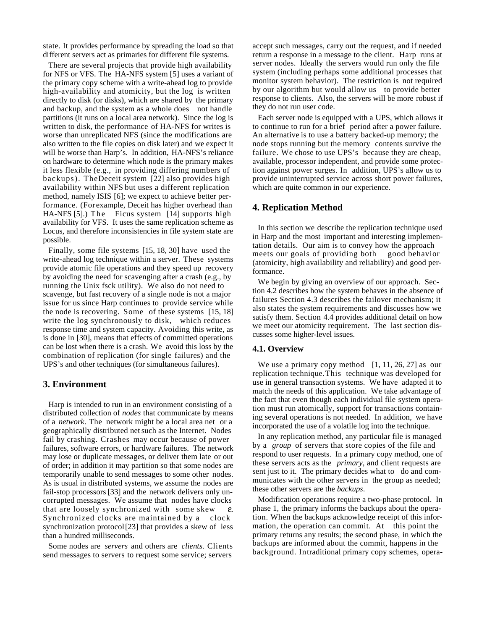state. It provides performance by spreading the load so that accept such messages, carry out the request, and if needed

directly to disk (or disks), which are shared by the primary response to clients. Also, and backup, and the system as a whole does not handle they do not run user code. and backup, and the system as a whole does not handle partitions (it runs on a local area network). Since the log is Each server node is equipped with a UPS, which allows it worse than unreplicated NFS (since the modifications are will be worse than Harp's. In addition, HA-NFS's reliance failure. We chose to use UPS's because they are cheap, availability within NFS but uses a different replication which are quite common in our experience. method, namely ISIS [6]; we expect to achieve better performance. (For example, Deceit has higher overhead than **4. Replication Method** HA-NFS [5].) The Ficus system [14] supports high availability for VFS. It uses the same replication scheme as

availability for VFS. It uses the same replication scheme as<br>
Locus, and therefore inconsistencies in file system state are<br>
in Harp and the most important and interesting implemen-<br>
finally, some file systems [15, 18, 30] can be lost when there is a crash. We avoid this loss by the **4.1. Overview** combination of replication (for single failures) and the UPS's and other techniques (for simultaneous failures). We use a primary copy method [1, 11, 26, 27] as our

Harp is intended to run in an environment consisting of a<br>distributed collection of *nodes* that communicate by means<br>of a *network*. The network might be a local area net or a<br>geographically distributed net such as the In In any replication method, any particular file is manage<br>failures software errors or bardware failures. The network by a *group* of servers that store copies of the file and failures, software errors, or hardware failures. The network may lose or duplicate messages, or deliver them late or out respond to user requests. In a primary copy method, one of these servers acts as the *primary*, and client requests are of order; in addition it may partition so that some nodes are sent just to it. The primary decides what to do and com-<br>temporarily unable to send messages to some other nodes.<br>As is usual in distributed systems we assume the nodes are<br> $\frac{1}{2}$  municates with the other servers in the As is usual in distributed systems, we assume the nodes are fail-stop processors [33] and the network delivers only uncorrupted messages. We assume that nodes have clocks Modification operations require a two-phase protocol. In that are loosely synchronized with some skew  $\varepsilon$ , the primary informs the backups about the opera-Synchronized clocks are maintained by a clock tion. When the backups acknowledge receipt of this inforsynchronization protocol [23] that provides a skew of less mation, the operation can commit. At this point the than a hundred milliseconds. primary returns any results; the second phase, in which the

send messages to servers to request some service; servers

different servers act as primaries for different file systems. return a response in a message to the client. Harp runs at There are several projects that provide high availability server nodes. Ideally the servers would run only the file<br>or NES or VES The HA-NES system [5] uses a variant of system (including perhaps some additional processes for NFS or VFS. The HA-NFS system [5] uses a variant of system (including perhaps some additional processes that for negative about the primary convisement with a write-ahead log to provide monitor system behavior). The re the primary copy scheme with a write-ahead log to provide monitor system behavior). The restriction is not required<br>high-availability and atomicity but the log is written by our algorithm but would allow us to provide bett high-availability and atomicity, but the log is written by our algorithm but would allow us to provide better is directly to disk (or disks) which are shared by the primary response to clients. Also, the servers will be mo

written to disk, the performance of HA-NFS for writes is to continue to run for a brief period after a power failure.<br>worse than unreplicated NFS (since the modifications are An alternative is to use a battery backed-up me also written to the file copies on disk later) and we expect it node stops running but the memory contents survive the on hardware to determine which node is the primary makes available, processor independent, and provide some protecit less flexible (e.g., in providing differing numbers of tion against power surges. In addition, UPS's allow us to backups). The Deceit system [22] also provides high provide uninterrupted service across short power failures,

replication technique. This technique was developed for use in general transaction systems. We have adapted it to **3. Environment** match the needs of this application. We take advantage of

these other servers are the *backups*.

Some nodes are *servers* and others are *clients*. Clients backups are informed about the commit, happens in the servers to request some service: servers background. Intraditional primary copy schemes, opera-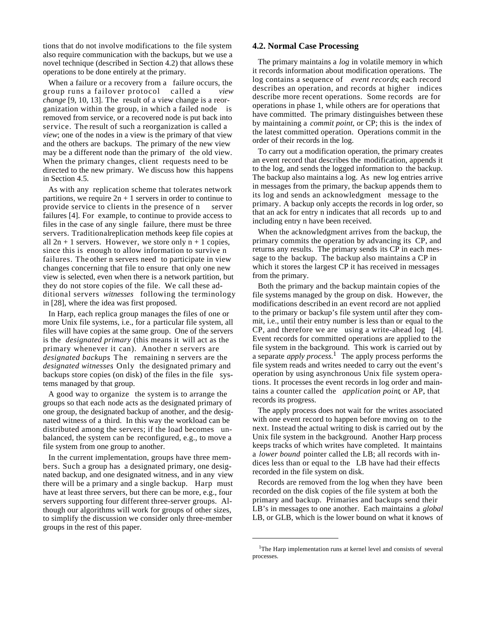tions that do not involve modifications to the file system **4.2. Normal Case Processing** also require communication with the backups, but we use a novel technique (described in Section 4.2) that allows these The primary maintains a *log* in volatile memory in which

When a failure or a recovery from a failure occurs, the describes an operation, and records at higher indices<br>group runs a failover protocol called a *view* describe more recent operations. Some records are for change [9, 10, 13]. The result of a view change is a reor-<br>contaction within the group in which a following pode is operations in phase 1, while others are for operations that ganization within the group, in which a failed node is  $h$  have committed. The primary distinguishes between these removed from service, or a recovered node is put back into  $h$  have committed. The primary distinguishes between these removed from service, or  $h$  and  $h$  and service. The result of such a reorganization is called a by maintaining a *commit point*, or CP; this is the index of service. The result of such a reorganization is called a the latest committed operation. Operations comm view; one of the nodes in a view is the primary of that view the latest committed operation.<br>
order of their records in the log. and the others are backups. The primary of the new view<br>may be a different node than the primary of the old view. To carry out a modification operation, the primary creates may be a different node than the primary of the old view. When the primary changes, client requests need to be an event record that describes the modification, appends it directed to the new primary. We discuss how this happens to the log, and sends the logged information to the directed to the new primary. We discuss how this happens in Section 4.5. The backup also maintains a log. As new log entries arrive

partitions, we require  $2n + 1$  servers in order to continue to primary. A backup only accepts the records in log order, so provide service to clients in the presence of n server<br>primary. A backup only accepts the records in log order, so provide service of n server that an ack for ent failures [4]. For example, to continue to provide access to that all ack for entry n indicates that files in the case of any single failure there must be three including entry n have been received. files in the case of any single failure, there must be three the including entry in have been received.<br>
Servers. Traditional replication methods keep file copies at When the acknowledgment arrives from the backup, the servers. Traditional replication methods keep file copies at all  $2n + 1$  servers. However, we store only  $n + 1$  copies, primary commits the operation by advancing its CP, and since this is enough to allow information to survive n returns any results. The primary sends its CP in eac since this is enough to allow information to survive n failures. The other n servers need to participate in view sage to the backup. The backup also maintains a CP in changes concerning that file to ensure that only one new which it stores the largest CP it has received in messages view is selected, even when there is a network partition, but from the primary. view is selected, even when there is a network partition, but they do not store copies of the file. We call these ad-<br>ditional servers *witnesses* following the terminology file systems managed by the group on disk. However, the ditional servers *witnesses* following the terminology file systems managed by the group on disk. However, the in [28], where the idea was first proposed.

more Unix file systems, i.e., for a particular file system, all mit, i.e., until their entry number is less than or equal to the files will have copies at the same group. One of the servers CP, and therefore we are using a files will have copies at the same group. One of the servers is the *designated primary* (this means it will act as the Event records for committed operations are applied to the primary whenever it can). Another n servers are file system in the background. This work is carried out by *designated backups*. The remaining n servers are the a separate *apply process*.<sup>1</sup> The apply process performs the *designated witnesses*. Only the designated primary and file system reads and writes needed to carry out t *designated witnesses*. Only the designated primary and file system reads and writes needed to carry out the event's hackups store copies (on disk) of the files in the file system operation by using asynchronous Unix file backups store copies (on disk) of the files in the file sys-

A good way to organize the system is to arrange the <sup>tains a</sup> counter called records in the system of **a** groups so that each node acts as the designated primary of<br>one group, the designated backup of another, and the desig-<br>The apply process does not wait for the writes associated balanced, the system can be reconfigured, e.g., to move a

dices less than or equal to the LB<br>hard hackup and one designated witness and in any view recorded in the file system on disk. nated backup, and one designated witness, and in any view<br>there will be a primary and a single backup. Harp must<br>Records are removed from the log when they have been there will be a primary and a single backup. Harp must<br>have at least three servers, but there can be more, e.g., four<br>recorded on the disk copies of the file system at both the have at least three servers, but there can be more, e.g., four<br>servers supporting four different three-server groups. Al-<br>primary and backup. Primaries and backups send their servers supporting four different three-server groups. Alto simplify the discussion we consider only three-member groups in the rest of this paper.

operations to be done entirely at the primary. it records information about modification operations. The<br>When a failure or a recovery from a failure occurs the log contains a sequence of *event records*; each record

As with any replication scheme that tolerates network in messages from the primary, the backup appends them to  $\frac{1}{2}$  and to  $\frac{1}{2}$  and sends an acknowledgment message to the

modifications described in an event record are not applied. In Harp, each replica group manages the files of one or<br>
or to the primary or backup's file system until after they com-<br>
interesting the primary or backup's file system until after they com-<br>
interesting the primary numbe a separate *apply process*.<sup>1</sup> The apply process performs the tems managed by that group.<br>A good way to granize, the system is to granize the tains a counter called the *application point*, or AP, that

one group, the designated backup of another, and the desig-<br>
The apply process does not wait for the writes associated<br>
nated witness of a third. In this way the workload can be<br>
with one event record to happen before movi nated witness of a third. In this way the workload can be with one event record to happen before moving on to the distributed among the servers: if the load becomes un-<br>next. Instead the actual writing to disk is carried o distributed among the servers; if the load becomes un-<br>halanced, the system can be reconfigured, e.g., to move a Unix file system in the background. Another Harp process file system from one group to another. keeps tracks of which writes have completed. It maintains In the current implementation, groups have three mem-<br>a *lower bound* pointer called the LB have had their effects<br>are Such a group has a designated primary, one designation dices less than or equal to the LB have had thei

though our algorithms will work for groups of other sizes, LB's in messages to one another. Each maintains a *global* to simplify the discussion we consider only three-member LB, or GLB, which is the lower bound on what it

<sup>&</sup>lt;sup>1</sup>The Harp implementation runs at kernel level and consists of several processes.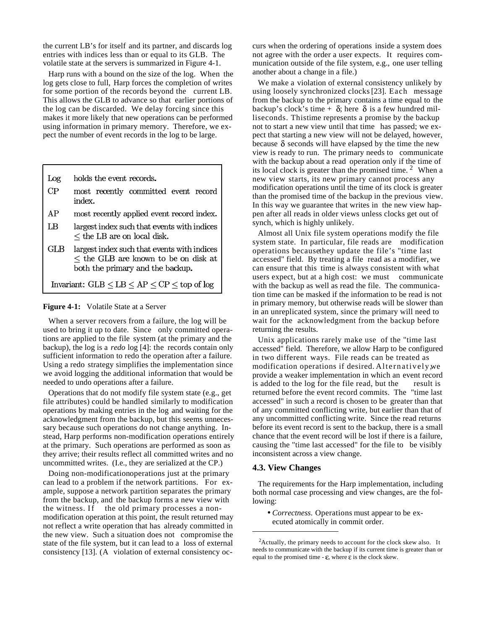entries with indices less than or equal to its GLB. The not agree with the order a user expects. It requires comvolatile state at the servers is summarized in Figure 4-1. munication outside of the file system, e.g., one user telling

Harp runs with a bound on the size of the log. When the another about a change in a file.)<br>
Due make a violation of external consistency unlikely by<br>
We make a violation of external consistency unlikely by log gets close to full, Harp forces the completion of writes the log can be discarded. We delay forcing since this backup's clock's time +  $\delta$ ; here  $\delta$  is a few hundred milmakes it more likely that new operations can be performed liseconds. This time represents a promise by the backup using information in primary memory. Therefore, we ex-<br>not to start a new view until that time has passed; w using information in primary memory. Therefore, we ex-<br>pect the number of event records in the log to be large.<br>pect that starting a new view will not be delayed, however,

Log holds the event records.

- $CP$ most recently committed event record index.
- AP most recently applied event record index.
- $LB$ largest index such that events with indices  $\leq$  the LB are on local disk.
- **GLB** largest index such that events with indices  $\leq$  the GLB are known to be on disk at both the primary and the backup.
	- Invariant: GLB  $\leq$  LB  $\leq$  AP  $\leq$  CP  $\leq$  top of log

used to bring it up to date. Since only committed opera- returning the results. tions are applied to the file system (at the primary and the Unix applications rarely make use of the "time last<br>backup), the log is a *redo* log [4]: the records contain only accessed" field. Therefore, we allow Harp to b sufficient information to redo the operation after a failure. in two different ways. File reads can be treated as<br>Using a redo strategy simplifies the implementation since modification operations if desired Alternatively Using a redo strategy simplifies the implementation since modification operations if desired. Alternatively, we we avoid logging the additional information that would be  $\frac{1}{2}$  provide a weaker implementation in which a

file attributes) could be handled similarly to modification accessed" in such a record is chosen to be greater than that operations by making entries in the log and waiting for the of any committed conflicting write, but e operations by making entries in the log and waiting for the of any committed conflicting write, but earlier than that of acknowledgment from the backup, but this seems unneces-<br>any uncommitted conflicting write. Since the acknowledgment from the backup, but this seems unnecessary because such operations do not change anything. In- before its event record is sent to the backup, there is a small stead, Harp performs non-modification operations entirely chance that the event record will be lost if there is a failure, at the primary. Such operations are performed as soon as causing the "time last accessed" for the f at the primary. Such operations are performed as soon as they arrive; their results reflect all committed writes and no inconsistent across a view change. uncommitted writes. (I.e., they are serialized at the CP.) **4.3. View Changes**

Doing non-modification operations just at the primary<br>can lead to a problem if the network partitions. For excan lead to a problem if the network partitions. For ex-<br>ample, suppose a network partition separates the primary<br>both normal case processing and view changes are the folfrom the backup, and the backup forms a new view with lowing: the witness. If the old primary processes a non-• *Correctness*. Operations must appear to be ex-<br>modification operation at this point, the result returned may<br>not reflect a write operation that has already committed in the new view. Such a situation does not compromise the state of the file system, but it can lead to a loss of external <sup>2</sup>Actually, the primary needs to account for the clock skew also. It consistency  $[1, 2]$  (A violation of external consistency oc needs to communicate with

the current LB's for itself and its partner, and discards log curs when the ordering of operations inside a system does

for some portion of the records beyond the current LB. using loosely synchronized clocks [23]. Each message This allows the GLB to advance so that earlier portions of from the backup to the primary contains a time equal to the pect that starting a new view will not be delayed, however, because  $\delta$  seconds will have elapsed by the time the new view is ready to run. The primary needs to communicate with the backup about a read operation only if the time of its local clock is greater than the promised time.  $2$  When a new view starts, its new primary cannot process any modification operations until the time of its clock is greater than the promised time of the backup in the previous view. In this way we guarantee that writes in the new view happen after all reads in older views unless clocks get out of synch, which is highly unlikely.

Almost all Unix file system operations modify the file system state. In particular, file reads are modification operations because they update the file's "time last accessed" field. By treating a file read as a modifier, we can ensure that this time is always consistent with what users expect, but at a high cost: we must communicate with the backup as well as read the file. The communication time can be masked if the information to be read is not **Figure 4-1:** Volatile State at a Server in primary memory, but otherwise reads will be slower than in an unreplicated system, since the primary will need to When a server recovers from a failure, the log will be wait for the acknowledgment from the backup before

accessed" field. Therefore, we allow Harp to be configured we avoid logging the additional information that would be provide a weaker implementation in which an event record<br>is added to the log for the file read but the result is is added to the log for the file read, but the result is Operations that do not modify file system state (e.g., get returned before the event record commits. The "time last

both normal case processing and view changes, are the fol-

consistency [13]. (A violation of external consistency oc-<br>equal to the promised time -  $\varepsilon$ , where  $\varepsilon$  is the clock skew.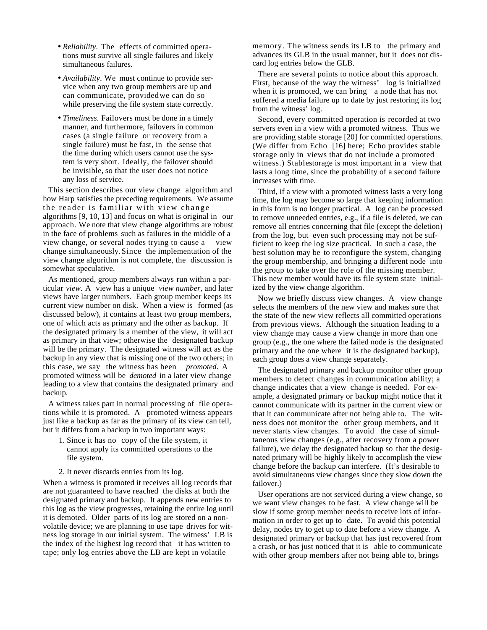- simultaneous failures.  $\overline{\phantom{a}}$  card log entries below the GLB.
- 
- 

This section describes our view change algorithm and<br>how Harp satisfies the preceding requirements. We assume time, the log may become so large that keeping information how Harp satisfies the preceding requirements. We assume time, the log may become so large that keeping information<br>the reader is familiar with view change in this form is no longer practical. A log can be processed the reader is familiar with view change in this form is no longer practical. A log can be processed algorithms [9, 10, 13] and focus on what is original in our to remove unneeded entries, e.g., if a file is deleted, we can algorithms [9, 10, 13] and focus on what is original in our to remove unneeded entries, e.g., if a file is deleted, we can<br>approach. We note that view change algorithms are robust remove all entries concerning that file (e approach. We note that view change algorithms are robust remove all entries concerning that file (except the deletion) in the face of problems such as failures in the middle of a from the log, but even such processing may in the face of problems such as failures in the middle of a from the log, but even such processing may not be suf-<br>view change, or several nodes trying to cause a view ficient to keep the log size practical. In such a case view change, or several nodes trying to cause a view ficient to keep the log size practical. In such a case, the change simultaneously. Since the implementation of the best solution may be to reconfigure the system, changi change simultaneously. Since the implementation of the best solution may be to reconfigure the system, changing<br>view change algorithm is not complete, the discussion is the group membership and bringing a different node in view change algorithm is not complete, the discussion is the group membership, and bringing a different node into<br>the group to take over the role of the missing member

*ticular view.* A view has a unique *view number*, and later views have larger numbers. Each group member keeps its views have larger numbers. Each group member keeps its Now we briefly discuss view changes. A view change current view number on disk. When a view is formed (as selects the members of the new view and makes sure that current view number on disk. When a view is formed (as selects the members of the new view and makes sure that discussed below), it contains at least two group members, the state of the new view reflects all committed oper discussed below), it contains at least two group members, the state of the new view reflects all committed operations one of which acts as primary and the other as backup. If from previous views. Although the situation lea the designated primary is a member of the view, it will act view change may cause a view change in more than one as primary in that view; otherwise the designated backup group (e.g., the one where the failed node is the designated will be the primary. The designated witness will act as the grimary and the one where it is the designat backup in any view that is missing one of the two others; in each group does a view change separately.<br>this case, we say the witness has been *promoted*. A The designated primary and backup more

tions while it is promoted. A promoted witness appears that it can communicate after not being able to. The wit-<br>just like a backup as far as the primary of its view can tell, ness does not monitor the other group members, just like a backup as far as the primary of its view can tell, ness does not monitor the other group members, and it<br>but it differs from a backup in two important ways:<br>never starts view changes. To avoid the case of simul

- 
- 

When a witness is promoted it receives all log records that failover.)<br>are not guaranteed to have reached the disks at both the designated primary and backup. It appends new entries to we want view changes to be fast. A view change will be this log as the view progresses, retaining the entire log until this log as the view progresses, retaining the entire log until slow if some group member needs to receive lots of infor-<br>it is demoted. Older parts of its log are stored on a non-<br>mation in order to get up to date. To avo It is demoted. Older parts of its log are stored on a non-<br>volatile device; we are planning to use tape drives for wit-<br>delay nodes try to get up to date before a view change. volatile device; we are planning to use tape drives for wit-<br>ness log storage in our initial system. The witness' LB is<br>designated primary or backup that has just recovered from ness log storage in our initial system. The witness' LB is designated primary or backup that has just recovered from<br>the index of the highest log record that it has written to a great or has just noticed that it is, able t the index of the highest log record that it has written to a crash, or has just noticed that it is able to communicate tape; only log entries above the LB are kept in volatile with other group members ofter not being able

• *Reliability*. The effects of committed opera- memory. The witness sends its LB to the primary and tions must survive all single failures and likely advances its GLB in the usual manner, but it does not dis-

There are several points to notice about this approach. • Availability. We must continue to provide service when any two group members are up and<br>
vice when any two group members are up and<br>
can communicate, provided we can do so<br>
while preserving the file system state correctl

• *Timeliness*. Failovers must be done in a timely Second, every committed operation is recorded at two manner, and furthermore, failovers in common servers even in a view with a promoted witness. Thus we manner, and furthermore, failovers in common servers even in a view with a promoted witness. Thus we cases (a single failure or recovery from a servers even in a view with a promoted witness. Thus we cases (a single failur cases (a single failure or recovery from a are providing stable storage [20] for committed operations.<br>single failure) must be fast, in the sense that (We differ from Echo 1161 here: Echo provides stable single failure) must be fast, in the sense that (We differ from Echo [16] here; Echo provides stable<br>the time during which users cannot use the sys-<br>storage only in views that do not include a promoted the time during which users cannot use the sys-<br>tem is very short. Ideally, the failover should<br>witness.) Stablestorage is most important in a view the tem is very short. Ideally, the failover should<br>be invisible, so that the user does not notice<br>lasts a long time, since the probability of a second failure be invisible, so that the user does not notice lasts a long time, since the probability of a second failure any loss of service. increases with time.

the group to take over the role of the missing member. As mentioned, group members always run within a par-<br>cular view. A view has a unique view number, and later ized by the view change algorithm.

> from previous views. Although the situation leading to a primary and the one where it is the designated backup),

this case, we say the witness has been *promoted*. A<br>promoted witness will be *demoted* in a later view change<br>leading to a view that contains the designated primary and<br>backup.<br>backup.<br>a change indicates that a view chang A witness takes part in normal processing of file opera- cannot communicate with its partner in the current view or never starts view changes. To avoid the case of simul-1. Since it has no copy of the file system, it taneous view changes (e.g., after recovery from a power cannot apply its committed operations to the failure), we delay the designated backup so that the desigfile system. The nated primary will be highly likely to accomplish the view change before the backup can interfere. (It's desirable to 2. It never discards entries from its log.<br>avoid simultaneous view changes since they slow down the

are not guaranteed to have reached the disks at both the User operations are not serviced during a view change, so<br>designated primary and backup. It appends new entries to use went view abanges to be feet. A view abange wi with other group members after not being able to, brings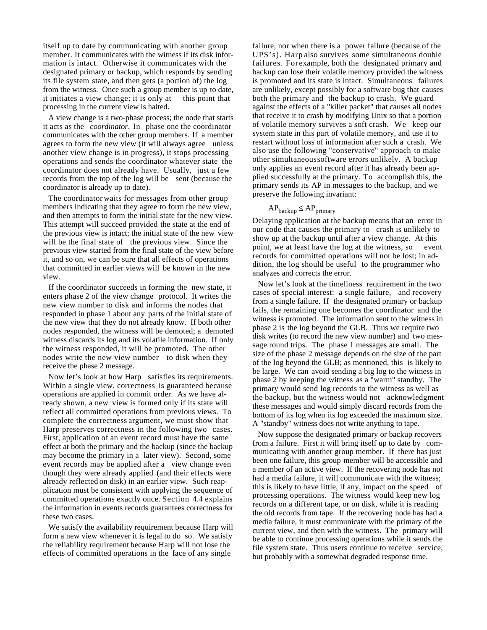it initiates a view change; it is only at this point that both the primary and the backup to crash. We guard

it acts as the *coordinator*. In phase one the coordinator of volatile memory survives a soft crash. We keep our communicates with the other group members. If a member system state in this part of volatile memory, and use communicates with the other group members. If a member system state in this part of volatile memory, and use it to<br>agrees to form the new view (it will always agree unless restart without loss of information after such a c agrees to form the new view (it will always agree unless restart without loss of information after such a crash. We another view change is in progress) it stops processing also use the following "conservative" approach to another view change is in progress), it stops processing also use the following "conservative" approach to make<br>operations and sends the coordinator whatever state the other simultaneoussoftware errors unlikely. A backup operations and sends the coordinator whatever state the other simultaneous software errors unlikely. A backup<br>coordinator does not already have Haually just a few only applies an event record after it has already been apcoordinator does not already have. Usually, just a few only applies an event record after it has already been ap-<br>records from the top of the log will be sent (because the piled successfully at the primary. To accomplish t records from the top of the log will be sent (because the

The coordinator waits for messages from other group members indicating that they agree to form the new view.<br>
and then attempts to form the initial state for the new view.<br>
This attempt will succeed provided the state at the end of<br>
the previous view is intact; the initial

complete the correctness argument, we must show that  $\overline{A}$  "standby" witness does not write anything to tape.

itself up to date by communicating with another group failure, nor when there is a power failure (because of the member. It communicates with the witness if its disk infor-<br>UPS's). Harp also survives some simultaneous double mation is intact. Otherwise it communicates with the failures. For example, both the designated primary and designated primary or backup, which responds by sending backup can lose their volatile memory provided the witness its file system state, and then gets (a portion of) the log is promoted and its state is intact. Simultaneous failures from the witness. Once such a group member is up to date, are unlikely, except possibly for a software bug that causes processing in the current view is halted. against the effects of a "killer packet" that causes all nodes A view change is a two-phase process; the node that starts that receive it to crash by modifying Unix so that a portion acts as the *coordinator* In phase one the coordinator of volatile memory survives a soft crash. We ke coordinator is already up to date).<br>
The secondinator is already up to date). The secondinator is already up to date).

If the coordinator succeeds in forming the new state, it<br>
enters phase 2 of the view change protocol. It writes the<br>
new view number to disk and informs the nodes that<br>
responded in phase 1 about any parts of the initial s Now let's look at how Harp satisfies its requirements.<br>
We large. We can avoid sending a big log to the witness in<br>
Within a single view, correctness is guaranteed because<br>
phase 2 by keeping the witness as a "warm" standb operations are applied in commit order. As we have al-<br>
the backup, but the witness would not acknowledgment<br>
these massages and would simply discard records from the ready shown, a new view is formed only if its state will these messages and would simply discard records from the reflect all committed operations from previous views. To better of its log when its log axeoded the maximum bottom of its log when its log exceeded the maximum size.

Harp preserves correctness in the following two cases.<br>
First, application of an event record must have the same<br>
effect at both the primary and the backup (since the backup coovers<br>
may become the primary and the backup ( we satisfy the availability requirement because Harp will<br>form a new view whenever it is legal to do so. We satisfy<br>the reliability requirement because Harp will not lose the<br>file system state. Thus users continue to recei file system state. Thus users continue to receive service, effects of committed operations in the face of any single but probably with a somewhat degraded response time.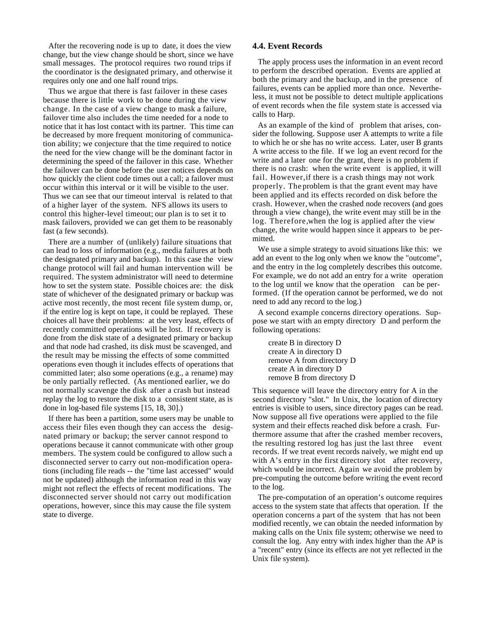After the recovering node is up to date, it does the view **4.4. Event Records** change, but the view change should be short, since we have small messages. The protocol requires two round trips if The apply process uses the information in an event record the coordinator is the designated primary, and otherwise it to perform the described operation. Events are the coordinator is the designated primary, and otherwise it

because there is little work to be done during the view failover time also includes the time needed for a node to<br>notice that it has lost contact with its partner. This time can As an example of the kind of problem that arises, conthe need for the view change will be the dominant factor in A write access to the file. If we log an event record for the determining the speed of the failover in this case. Whether write and a later one for the grant, the determining the speed of the failover in this case. Whether how quickly the client code times out a call; a failover must occur within this interval or it will be visible to the user. properly. The problem is that the grant event may have<br>Thus we can see that our timeout interval is related to that been applied and its effects recorded on dis of a higher layer of the system. NFS allows its users to control this higher-level timeout; our plan is to set it to through a view change), the write event may still be in the mask failovers, provided we can get them to be reasonably  $log$ . Therefore, when the log is applied afte mask failovers, provided we can get them to be reasonably

There are a number of (unlikely) failure situations that mitted.<br>In lead to loss of information (e.g., media failures at both We use a simple strategy to avoid situations like this: we can lead to loss of information (e.g., media failures at both We use a simple strategy to avoid situations like this: we the designated primary and backup). In this case the view add an event to the log only when we know change protocol will fail and human intervention will be state of whichever of the designated primary or backup was formed. (If the operation cannot b active most recently, the most recent file system dump, or, need to add any record to the log.) active most recently, the most recent file system dump, or, if the entire log is kept on tape, it could be replayed. These A second example concerns directory operations. Supchoices all have their problems: at the very least, effects of pose we start with an empty directory D and perform the recently committed operations will be lost. If recovery is following operations:<br>done from the disk state of a designated primary or backup done from the disk state of a designated primary or backup<br>and that node had crashed, its disk must be scavenged, and<br>the result may be missing the effects of some committed<br>operations even though it includes effects of op not normally scavenge the disk after a crash but instead This sequence will leave the directory entry for A in the replay the log to restore the disk to a consistent state, as is second directory "slot." In Unix, the locat

members. The system could be configured to allow such a not be updated) although the information read in this way pre-computed property in the outcome before writing the event record in the event record in the event record in the event record in the event record in the log. might not reflect the effects of recent modifications. The disconnected server should not carry out modification The pre-computation of an operation's outcome requires state to diverge.  $\blacksquare$  operation concerns a part of the system that has not been

requires only one and one half round trips.<br>
Thus we argue that there is feat follows in these cases failures, events can be applied more than once. Neverthe-Thus we argue that there is fast failover in these cases all the Tailures, events can be applied more than once. Neverthe-<br>research than is little work to be done during the view less, it must not be possible to detect mul of event records when the file system state is accessed via<br>change. In the case of a view change to mask a failure,<br>failower time also includes the time needed for a note to calls to Harp.

notice that it has lost contact with its partner. This time can As an example of the kind of problem that arises, con-<br>be decreased by more frequent monitoring of communica-<br>sider the following. Suppose user A attempts to be decreased by more frequent monitoring of communica-<br>
tion ability: we conjecture that the time required to notice to which he or she has no write access. Later, user B grants tion ability; we conjecture that the time required to notice to which he or she has no write access. Later, user B grants the need for the view change will be the dominant factor in A write access to the file. If we log an the failover can be done before the user notices depends on there is no crash: when the write event is applied, it will how quickly the client code times out a call: a failover must fail. However, if there is a crash thing Thus we can see that our timeout interval is related to that been applied and its effects recorded on disk before the of a higher layer of the system. NFS allows its users to crash. However, when the crashed node recovers fast (a few seconds). change, the write would happen since it appears to be per-

the designated primary and backup). In this case the view add an event to the log only when we know the "outcome", change protocol will fail and human intervention will be and the entry in the log completely describes this required. The system administrator will need to determine For example, we do not add an entry for a write operation how to set the system state. Possible choices are: the disk to the log until we know that the operation can be per-<br>state of whichever of the designated primary or backup was formed. (If the operation cannot be performed,

second directory "slot." In Unix, the location of directory done in log-based file systems [15, 18, 30].) entries is visible to users, since directory pages can be read. If there has been a partition, some users may be unable to Now suppose all five operations were applied to the file<br>ccess their files even though they can access the desig-<br>system and their effects reached disk before a cr access their files even though they can access the desig-<br>nated primary or backup; the server cannot respond to thermore assume that after the crashed member recovers, nated primary or backup; the server cannot respond to thermore assume that after the crashed member recovers, <br>operations because it cannot communicate with other group the resulting restored log has just the last three ev operations because it cannot communicate with other group the resulting restored log has just the last three event<br>members. The system could be configured to allow such a records. If we treat event records naively, we migh disconnected server to carry out non-modification opera-<br>tions (including file reads -- the "time last accessed" would which would be incorrect. Again we avoid the problem by tions (including file reads -- the "time last accessed" would which would be incorrect. Again we avoid the problem by<br>not be undated) although the information read in this way pre-computing the outcome before writing the e

operations, however, since this may cause the file system access to the system state that affects that operation. If the modified recently, we can obtain the needed information by making calls on the Unix file system; otherwise we need to consult the log. Any entry with index higher than the AP is a "recent" entry (since its effects are not yet reflected in the Unix file system).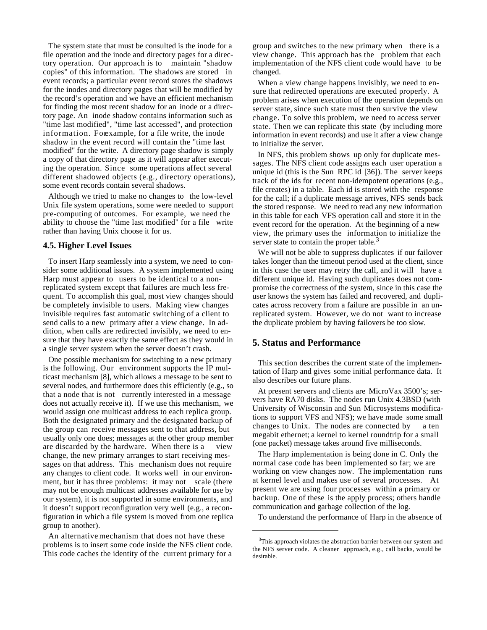file operation and the inode and directory pages for a direc- view change. This approach has the problem that each tory operation. Our approach is to maintain "shadow implementation of the NFS client code would have to be copies" of this information. The shadows are stored in changed. event records; a particular event record stores the shadows When a view change happens invisibly, we need to enfor the inodes and directory pages that will be modified by sure that redirected operations are executed properly. A the record's operation and we have an efficient mechanism reproblem arises when execution of the operatio the record's operation and we have an efficient mechanism problem arises when execution of the operation depends on for finding the most recent shadow for an inode or a direction of the since such state must then survive t for finding the most recent shadow for an inode or a direc-<br>tory page. An inode shadow contains information such as change. To solve this problem, we need to access server tory page. An inode shadow contains information such as change. To solve this problem, we need to access server<br>"time last modified", "time last accessed", and protection state. Then we can replicate this state (by includi "time last modified", "time last accessed", and protection state. Then we can replicate this state (by including more shadow in the event record will contain the "time last modified" for the write. A directory page shadow is simply modified" for the write. A directory page shadow is simply<br>a copy of that directory page as it will appear after execut-<br>ing the operation. Since some operations affect several<br>different shadowed objects (e.g., directory o

Unix file system operations, some were needed to support the stored response. We need to read any new information pre-computing of outcomes. For example, we need the in this table for each VFS operation call and store it i ability to choose the "time last modified" for a file write event record for the operation. At the beginning of a new rather than having Unix choose it for us.

sider some additional issues. A system implemented using in this case the user may retry the call, and it will have a Harp must appear to users to be identical to a non- different unique id. Having such duplicates does not comreplicated system except that failures are much less fre- promise the correctness of the system, since in this case the quent. To accomplish this goal, most view changes should user knows the system has failed and recovered, and duplibe completely invisible to users. Making view changes cates across recovery from a failure are possible in an uninvisible requires fast automatic switching of a client to replicated system. However, we do not want to increase send calls to a new primary after a view change. In ad-<br>the duplicate problem by having failovers be too slow. dition, when calls are redirected invisibly, we need to ensure that they have exactly the same effect as they would in **5. Status and Performance** a single server system when the server doesn't crash.

One possible mechanism for switching to a new primary<br>
it is section describes the current state of the implemen-<br>
it is section of Harp and gives some initial performance data. It<br>
ticast mechanism [8], which allows a mes change, the new primary arranges to start receiving mes-<br>sages on that address. This mechanism does not require normal case code has been implemented so far; we are sages on that address. This mechanism does not require normal case code has been implemented so far; we are any changes to client code. It works well in our environ-<br>working on view changes now. The implementation runs any changes to client code. It works well in our environ-<br>ment, but it has three problems: it may not scale (there at kernel level and makes use of several processes. At ment, but it has three problems: it may not scale (there at kernel level and makes use of several processes. At may not be enough multicast addresses available for use by present we are using four processes within a primar may not be enough multicast addresses available for use by present we are using four processes within a primary or our system), it is not supported in some environments, and backup. One of these is the apply process; other our system), it is not supported in some environments, and backup. One of these is the apply process; other<br>it doesn't support reconfiguration very well (e.g., a recon-<br>communication and garbage collection of the log. it doesn't support reconfiguration very well (e.g., a reconfiguration in which a file system is moved from one replica To understand the performance of Harp in the absence of group to another).

An alternative mechanism that does not have these<br>problems is to insert some code inside the NFS client code.<br>This approach violates the abstraction barrier between our system and<br>the NFS server code. A cleaner approach, e

The system state that must be consulted is the inode for a group and switches to the new primary when there is a

information in event records) and use it after a view change to initialize the server.

Some event records contain several shadows.<br>Although we tried to make no changes to the low-level<br>Unix file system operations, some were needed to support<br>the stored response. We need to read any new information in this table for each VFS operation call and store it in the view, the primary uses the information to initialize the 3 server state to contain the proper table. **4.5. Higher Level Issues**

We will not be able to suppress duplicates if our failover To insert Harp seamlessly into a system, we need to con- takes longer than the timeout period used at the client, since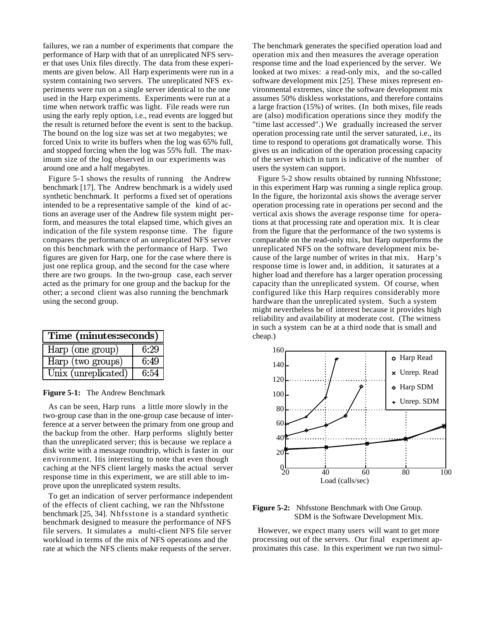performance of Harp with that of an unreplicated NFS serv- operation mix and then measures the average operation er that uses Unix files directly. The data from these experi- response time and the load experienced by the server. We system containing two servers. The unreplicated NFS exusing the early reply option, i.e., read events are logged but are (also) modification operations since they modify the The bound on the log size was set at two megabytes; we operation processing rate until the server saturated, i.e., its forced Unix to write its buffers when the log was 65% full, time to respond to operations got dramatically worse. This and stopped forcing when the log was 55% full. The max- gives us an indication of the operation processing capacity around one and a half megabytes. users the system can support.

Figure 5-1 shows the results of running the Andrew Figure 5-2 show results obtained by running Nhfsstone; tions an average user of the Andrew file system might per- vertical axis shows the average response time for operaform, and measures the total elapsed time, which gives an tions at that processing rate and operation mix. It is clear indication of the file system response time. The figure from the figure that the performance of the two indication of the file system response time. The figure on this benchmark with the performance of Harp. Two unreplicated NFS on the software development mix be-<br>figures are given for Harp, one for the case where there is cause of the large number of writes in that mix. Harp's just one replica group, and the second for the case where response time is lower and, in addition, it saturates at a acted as the primary for one group and the backup for the other; a second client was also running the benchmark configured like this Harp requires considerably more

| Time (minutes: seconds) |      |
|-------------------------|------|
| Harp (one group)        | 6:29 |
| Harp (two groups)       | 6:49 |
| Unix (unreplicated)     | 6:54 |

**Figure 5-1:** The Andrew Benchmark

As can be seen, Harp runs a little more slowly in the two-group case than in the one-group case because of interference at a server between the primary from one group and the backup from the other. Harp performs slightly better than the unreplicated server; this is because we replace a disk write with a message roundtrip, which is faster in our environment. It is interesting to note that even though caching at the NFS client largely masks the actual server response time in this experiment, we are still able to improve upon the unreplicated system results.<br>prove upon the unreplicated system results.

To get an indication of server performance independent of the effects of client caching, we ran the Nhfsstone **Figure 5-2:** Nhfsstone Benchmark with One Group. benchmark [25, 34]. Nhfsstone is a standard synthetic SDM is the Software Development Mix. benchmark designed to measure the performance of NFS file servers. It simulates a multi-client NFS file server However, we expect many users will want to get more rate at which the NFS clients make requests of the server.

failures, we ran a number of experiments that compare the The benchmark generates the specified operation load and ments are given below. All Harp experiments were run in a looked at two mixes: a read-only mix, and the so-called system containing two servers. The unreplicated NFS ex-<br>software development mix [25]. These mixes represent periments were run on a single server identical to the one vironmental extremes, since the software development mix used in the Harp experiments. Experiments were run at a assumes 50% diskless workstations, and therefore contains time when network traffic was light. File reads were run a large fraction (15%) of writes. (In both mixes, file reads the result is returned before the event is sent to the backup. "time last accessed".) We gradually increased the server imum size of the log observed in our experiments was of the server which in turn is indicative of the number of

benchmark [17]. The Andrew benchmark is a widely used in this experiment Harp was running a single replica group. synthetic benchmark. It performs a fixed set of operations In the figure, the horizontal axis shows the average server intended to be a representative sample of the kind of ac- operation processing rate in operations per second and the compares the performance of an unreplicated NFS server comparable on the read-only mix, but Harp outperforms the on this benchmark with the performance of Harp. Two unreplicated NFS on the software development mix because of the large number of writes in that mix. Harp's there are two groups. In the two-group case, each server higher load and therefore has a larger operation processing acted as the primary for one group and the backup for the capacity than the unreplicated system. Of cours hardware than the unreplicated system. Such a system might nevertheless be of interest because it provides high reliability and availability at moderate cost. (The witness in such a system can be at a third node that is small and cheap.)



workload in terms of the mix of NFS operations and the processing out of the servers. Our final experiment ap-<br>rate at which the NFS clients make requests of the server. proximates this case. In this experiment we run two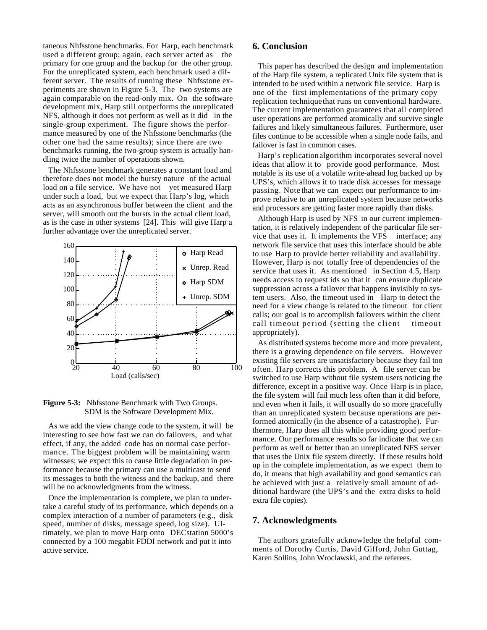taneous Nhfsstone benchmarks. For Harp, each benchmark **6. Conclusion** used a different group; again, each server acted as the primary for one group and the backup for the other group. This paper has described the design and implementation<br>For the unreplicated system, each benchmark used a dif-<br>of the Harp file system, a replicated Unix file syste periments are shown in Figure 5-3. The two systems are<br>one of the first implementations of the primary copy<br>again comparable on the read-only mix. On the software again comparable on the read-only mix. On the software replication technique that runs on conventional hardware.<br>development mix, Harp still outperforms the unreplicated The current implementation guarantees that all compl other one had the same results); since there are two<br>benchmarks running, the two-group system is actually han-

acts as an asynchronous buffer between the client and the and processors are getting faster more rapidly than disks.<br>Server, will smooth out the bursts in the actual client load,



take a careful study of its performance, which depends on a complex interaction of a number of parameters (e.g., disk **7. Acknowledgments** speed, number of disks, message speed, log size). Ultimately, we plan to move Harp onto DECstation 5000's connected by a 100 megabit FDDI network and put it into The authors gratefully acknowledge the helpful comactive service. ments of Dorothy Curtis, David Gifford, John Guttag,

For the unreplicated system, each benchmark used a dif-<br>ferent server. The results of running these Nhfsstone ex-<br>intended to be used within a network file service. Harp is intended to be used within a network file service. Harp is development mix, Harp still outperforms the unreplicated The current implementation guarantees that all completed NFS, although it does not perform as well as it did in the user operations are performed atomically and surv NFS, although it does not perform as well as it did in the user operations are performed atomically and survive single single single-group experiment. The figure shows the perfor-<br>Fully simultaneous failures. Furthermore, single-group experiment. The figure shows the perfor-<br>mance measured by one of the Nhfsstone benchmarks (the files continue to be accessible when a single node fails and files continue to be accessible when a single node fails, and

benchmarks running, the two-group system is actually han-<br>dling twice the number of operations shown.<br>The Nhfsstone benchmark generates a constant load and<br>noteble is its use of a velatile write shoed los besided up by The Nhfsstone benchmark generates a constant load and notable is its use of a volatile write-ahead log backed up by therefore does not model the bursty nature of the actual  $\frac{1}{1}$  IDS's which allows it to trade disk acc therefore does not model the bursty nature of the actual UPS's, which allows it to trade disk accesses for message load on a file service. We have not yet measured Harp assing. Note that we can expect our performance to im load on a file service. We have not yet measured Harp passing. Note that we can expect our performance to im-<br>under such a load, but we expect that Harp's log, which prove relative to an unraplicated system because network under such a load, but we expect that Harp's log, which prove relative to an unreplicated system because networks acts as an asynchronous buffer between the client and the and processors are eatting fester more repidly tha

as is the case in other systems [24]. This will give Harp a<br>further advantage over the unreplicated server.<br>tation, it is relatively independent of the particular file ser-<br>vice that uses it. It implements the VFS interfac network file service that uses this interface should be able to use Harp to provide better reliability and availability. However, Harp is not totally free of dependencies of the service that uses it. As mentioned in Section 4.5, Harp needs access to request ids so that it can ensure duplicate suppression across a failover that happens invisibly to system users. Also, the timeout used in Harp to detect the need for a view change is related to the timeout for client calls; our goal is to accomplish failovers within the client call timeout period (setting the client timeout appropriately).

As distributed systems become more and more prevalent, there is a growing dependence on file servers. However existing file servers are unsatisfactory because they fail too often. Harp corrects this problem. A file server can be Load (calls/sec) switched to use Harp without file system users noticing the difference, except in a positive way. Once Harp is in place, the file system will fail much less often than it did before, **Figure 5-3:** Nhfsstone Benchmark with Two Groups. and even when it fails, it will usually do so more gracefully SDM is the Software Development Mix. than an unreplicated system because operations are perthan an unreplicated system because operations are per-As we add the view change code to the system, it will be<br>interesting to see how fast we can do failovers, and what<br>effect, if any, the added code has on normal case perfor-<br>mance. Our performance results so far indicate th Once the implementation is complete, we plan to under-<br>Once the implementation is complete, we plan to under-<br>extra file copies).

Karen Sollins, John Wroclawski, and the referees.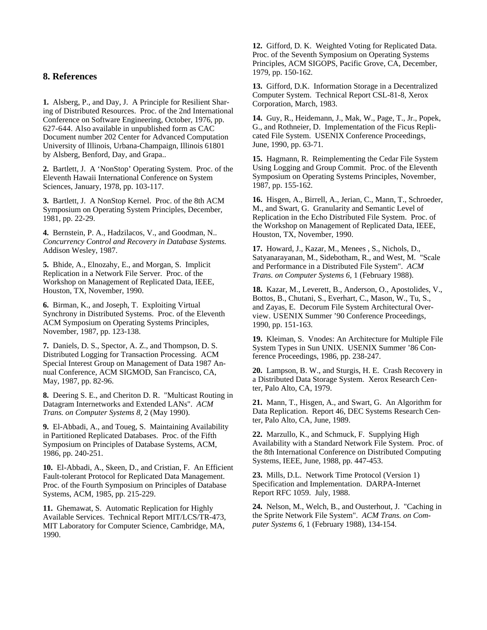1. Alsberg, P., and Day, J. A Principle for Resilient Shar- Corporation, March, 1983. ing of Distributed Resources. Proc. of the 2nd International Conference on Software Engineering, October, 1976, pp. **14.** Guy, R., Heidemann, J., Mak, W., Page, T., Jr., Popek, 627-644. Also available in unpublished form as CAC G., and Rothneier, D. Implementation of the Ficus Repli-<br>Document number 202 Center for Advanced Computation cated File System. USENIX Conference Proceedings, Document number 202 Center for Advanced Computation cated File System. US<br>
University of Illinois, Urbana-Champaign, Illinois 61801 June, 1990, pp. 63-71. University of Illinois, Urbana-Champaign, Illinois 61801.

**2.** Bartlett, J. A 'NonStop' Operating System. Proc. of the Eleventh Hawaii International Conference on System Symposium on Operating Systems Principles, November,<br>Sciences, January, 1978, pp. 103-117, 1987, pp. 155-162. Sciences, January, 1978, pp. 103-117.

Symposium on Operating System Principles, December,

**4.** Bernstein, P. A., Hadzilacos, V., and Goodman, N.. **Houston, TX, November**, 1990. *Concurrency Control and Recovery in Database Systems.*

Workshop on Management of Replicated Data, IEEE, Houston, TX, November, 1990. **18.** Kazar, M., Leverett, B., Anderson, O., Apostolides, V.,

ACM Symposium on Operating Systems Principles, 1990, pp. 151-163. November, 1987, pp. 123-138.

Distributed Logging for Transaction Processing. ACM ference Proceedings, 1986, pp. 238-247. Special Interest Group on Management of Data 1987 An-

**8.** Deering S. E., and Cheriton D. R. "Multicast Routing in Datagram Internetworks and Extended LANs". *ACM* 21. Mann, T., Hisgen, A., and Swart, G. An Algorithm for Trans. on Computer Systems 8, 2 (May 1990). Data Replication. Report 46, DEC Systems Research Cen-

**9.** El-Abbadi, A., and Toueg, S. Maintaining Availability in Partitioned Replicated Databases. Proc. of the Fifth **22.** Marzullo, K., and Schmuck, F. Supplying High

**10.** El-Abbadi, A., Skeen, D., and Cristian, F. An Efficient Fault-tolerant Protocol for Replicated Data Management. **23.** Mills, D.L. Network Time Protocol (Version 1)<br>Proc. of the Fourth Symposium on Principles of Database Specification and Implementation. DARPA-Internet Proc. of the Fourth Symposium on Principles of Database Specification and Implementation. ACM. 1985. pp. 215-229. Systems, ACM, 1985, pp. 215-229.

Available Services. Technical Report MIT/LCS/TR-473, the Sprite Network File System". *ACM Trans.* MIT Laboratory for Computer Science. Cambridge. MA. puter Systems 6, 1 (February 1988), 134-154. MIT Laboratory for Computer Science, Cambridge, MA, 1990.

**12.** Gifford, D. K. Weighted Voting for Replicated Data. Proc. of the Seventh Symposium on Operating Systems Principles, ACM SIGOPS, Pacific Grove, CA, December, 1979, pp. 150-162. **8. References**

> **13.** Gifford, D.K. Information Storage in a Decentralized Computer System. Technical Report CSL-81-8, Xerox

by Alsberg, Benford, Day, and Grapa.. **15.** Hagmann, R. Reimplementing the Cedar File System<br>2. Bartlett I. A 'NonSton' Operating System Proc. of the Using Logging and Group Commit. Proc. of the Eleventh

**3.** Bartlett, J. A NonStop Kernel. Proc. of the 8th ACM **16.** Hisgen, A., Birrell, A., Jerian, C., Mann, T., Schroeder, Symposium on Operating System Principles December M., and Swart, G. Granularity and Semantic Level of 1981, pp. 22-29. Replication in the Echo Distributed File System. Proc. of the Workshop on Management of Replicated Data, IEEE,

17. Howard, J., Kazar, M., Menees, S., Nichols, D., Satyanarayanan, M., Sidebotham, R., and West, M. "Scale **5.** Bhide, A., Elnozahy, E., and Morgan, S. Implicit and Performance in a Distributed File System". ACM<br>Replication in a Network File Server. Proc. of the *Trans on Computer Systems 6.* 1 (February 1988) Trans. on Computer Systems 6, 1 (February 1988).

Bottos, B., Chutani, S., Everhart, C., Mason, W., Tu, S., **6.** Birman, K., and Joseph, T. Exploiting Virtual and Zayas, E. Decorum File System Architectural Over-<br>Synchrony in Distributed Systems. Proc. of the Eleventh view IISENIX Summer '90 Conference Proceedings view. USENIX Summer '90 Conference Proceedings,

**19.** Kleiman, S. Vnodes: An Architecture for Multiple File **7.** Daniels, D. S., Spector, A. Z., and Thompson, D. S. System Types in Sun UNIX. USENIX Summer '86 Con-

nual Conference, ACM SIGMOD, San Francisco, CA, **20.** Lampson, B. W., and Sturgis, H. E. Crash Recovery in a Distributed Data Storage System. Xerox Research Cena Distributed Data Storage System. Xerox Research Center, Palo Alto, CA, 1979.

> Data Replication. Report 46, DEC Systems Research Center, Palo Alto, CA, June, 1989.

Symposium on Principles of Database Systems, ACM, Availability with a Standard Network File System. Proc. of 1986, pp. 240-251. Systems, IEEE, June, 1988, pp. 447-453.

**11.** Ghemawat, S. Automatic Replication for Highly **24.** Nelson, M., Welch, B., and Ousterhout, J. "Caching in Available Services. Technical Report MIT/LCS/TR-473. the Sprite Network File System". ACM Trans. on Com-